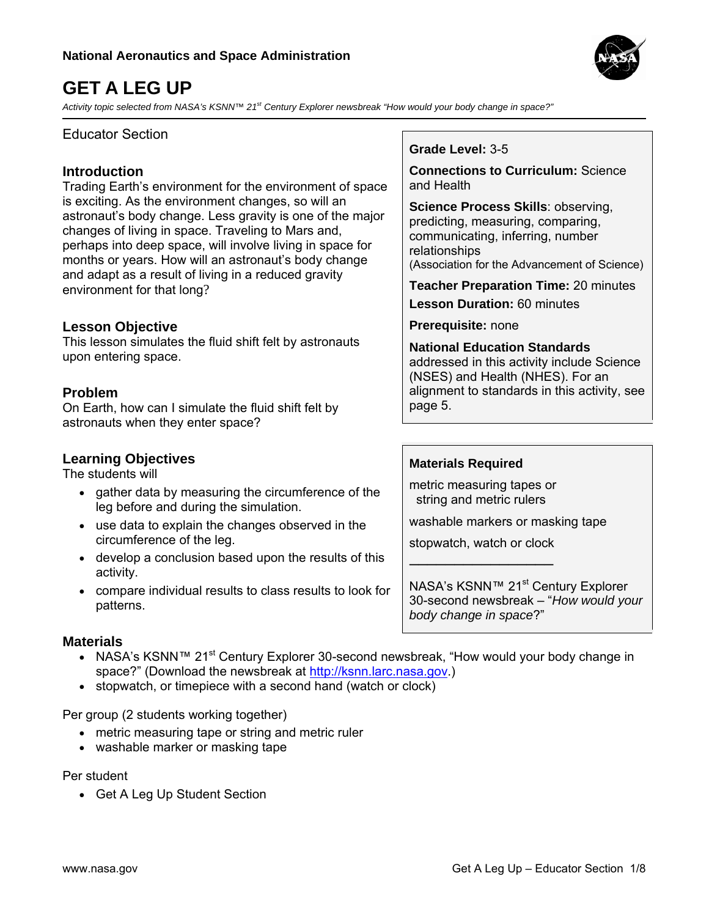

# **GET A LEG UP**

*Activity topic selected from NASA's KSNN™ 21st Century Explorer newsbreak "How would your body change in space?"* 

### Educator Section

### **Introduction**

Trading Earth's environment for the environment of space is exciting. As the environment changes, so will an astronaut's body change. Less gravity is one of the major changes of living in space. Traveling to Mars and, perhaps into deep space, will involve living in space for months or years. How will an astronaut's body change and adapt as a result of living in a reduced gravity environment for that long?

### **Lesson Objective**

This lesson simulates the fluid shift felt by astronauts upon entering space.

### **Problem**

On Earth, how can I simulate the fluid shift felt by astronauts when they enter space?

### **Learning Objectives**

The students will

- gather data by measuring the circumference of the leg before and during the simulation.
- use data to explain the changes observed in the circumference of the leg.
- develop a conclusion based upon the results of this activity.
- compare individual results to class results to look for patterns.

### **Materials**

- NASA's KSNN™ 21<sup>st</sup> Century Explorer 30-second newsbreak, "How would your body change in space?" (Download the newsbreak at [http://ksnn.larc.nasa.gov.](http://ksnn.larc.nasa.gov/))
- stopwatch, or timepiece with a second hand (watch or clock)

Per group (2 students working together)

- metric measuring tape or string and metric ruler
- washable marker or masking tape

#### Per student

• Get A Leg Up Student Section

### **Grade Level:** 3-5

**Connections to Curriculum:** Science and Health

**Science Process Skills**: observing, predicting, measuring, comparing, communicating, inferring, number relationships (Association for the Advancement of Science)

**Teacher Preparation Time:** 20 minutes **Lesson Duration:** 60 minutes

**Prerequisite:** none

**National Education Standards** addressed in this activity include Science (NSES) and Health (NHES). For an alignment to standards in this activity, see page 5.

### **Materials Required**

metric measuring tapes or string and metric rulers

washable markers or masking tape

stopwatch, watch or clock ────────────────

NASA's KSNN™ 21<sup>st</sup> Century Explorer 30-second newsbreak – "*How would your body change in space*?"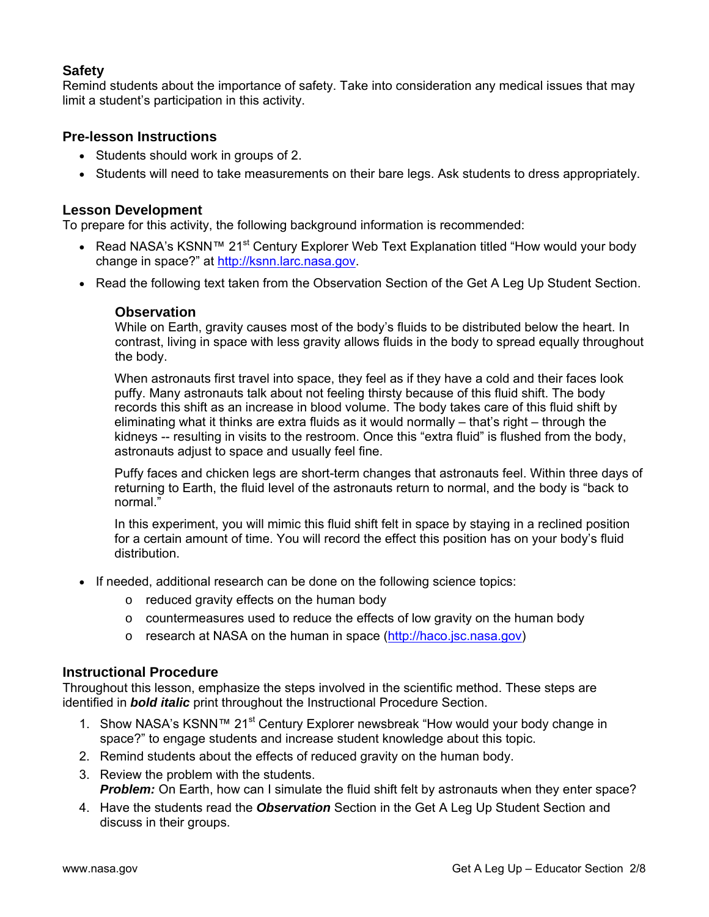### **Safety**

Remind students about the importance of safety. Take into consideration any medical issues that may limit a student's participation in this activity.

### **Pre-lesson Instructions**

- Students should work in groups of 2.
- Students will need to take measurements on their bare legs. Ask students to dress appropriately.

### **Lesson Development**

To prepare for this activity, the following background information is recommended:

- Read NASA's KSNN™ 21<sup>st</sup> Century Explorer Web Text Explanation titled "How would your body change in space?" at [http://ksnn.larc.nasa.gov](http://ksnn.larc.nasa.gov/).
- Read the following text taken from the Observation Section of the Get A Leg Up Student Section.

#### **Observation**

While on Earth, gravity causes most of the body's fluids to be distributed below the heart. In contrast, living in space with less gravity allows fluids in the body to spread equally throughout the body.

When astronauts first travel into space, they feel as if they have a cold and their faces look puffy. Many astronauts talk about not feeling thirsty because of this fluid shift. The body records this shift as an increase in blood volume. The body takes care of this fluid shift by eliminating what it thinks are extra fluids as it would normally – that's right – through the kidneys -- resulting in visits to the restroom. Once this "extra fluid" is flushed from the body, astronauts adjust to space and usually feel fine.

Puffy faces and chicken legs are short-term changes that astronauts feel. Within three days of returning to Earth, the fluid level of the astronauts return to normal, and the body is "back to normal."

In this experiment, you will mimic this fluid shift felt in space by staying in a reclined position for a certain amount of time. You will record the effect this position has on your body's fluid distribution.

- If needed, additional research can be done on the following science topics:
	- o reduced gravity effects on the human body
	- $\circ$  countermeasures used to reduce the effects of low gravity on the human body
	- o research at NASA on the human in space [\(http://haco.jsc.nasa.gov\)](http://haco.jsc.nasa.gov/)

#### **Instructional Procedure**

Throughout this lesson, emphasize the steps involved in the scientific method. These steps are identified in *bold italic* print throughout the Instructional Procedure Section.

- 1. Show NASA's KSNN™ 21<sup>st</sup> Century Explorer newsbreak "How would your body change in space?" to engage students and increase student knowledge about this topic.
- 2. Remind students about the effects of reduced gravity on the human body.
- 3. Review the problem with the students. **Problem:** On Earth, how can I simulate the fluid shift felt by astronauts when they enter space?
- 4. Have the students read the *Observation* Section in the Get A Leg Up Student Section and discuss in their groups.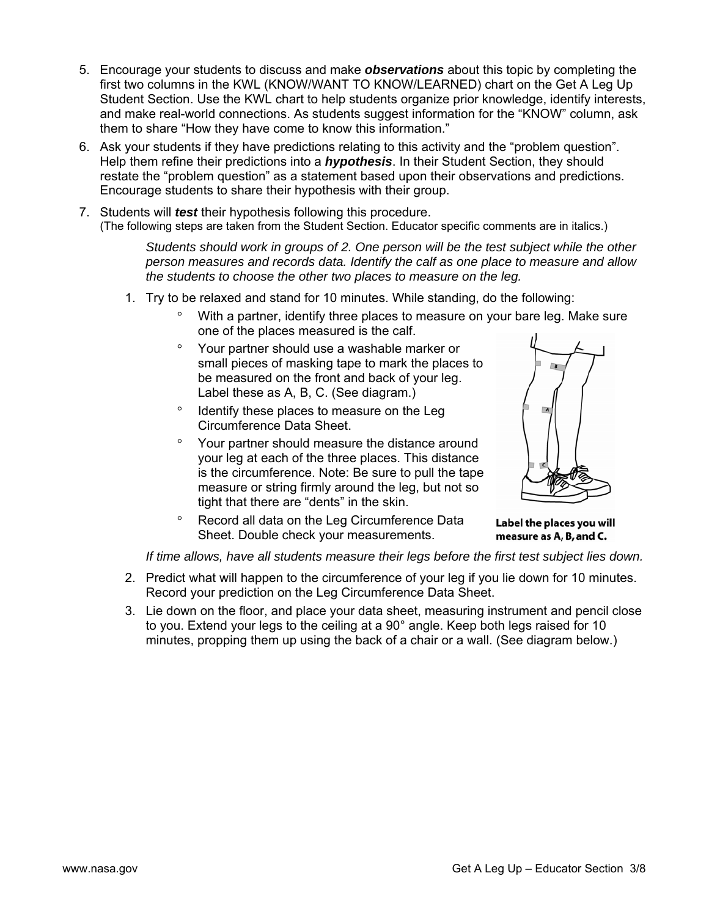- 5. Encourage your students to discuss and make *observations* about this topic by completing the first two columns in the KWL (KNOW/WANT TO KNOW/LEARNED) chart on the Get A Leg Up Student Section. Use the KWL chart to help students organize prior knowledge, identify interests, and make real-world connections. As students suggest information for the "KNOW" column, ask them to share "How they have come to know this information."
- 6. Ask your students if they have predictions relating to this activity and the "problem question". Help them refine their predictions into a *hypothesis*. In their Student Section, they should restate the "problem question" as a statement based upon their observations and predictions. Encourage students to share their hypothesis with their group.
- 7. Students will *test* their hypothesis following this procedure. (The following steps are taken from the Student Section. Educator specific comments are in italics.)

*Students should work in groups of 2. One person will be the test subject while the other person measures and records data. Identify the calf as one place to measure and allow the students to choose the other two places to measure on the leg.*

- 1. Try to be relaxed and stand for 10 minutes. While standing, do the following:
	- With a partner, identify three places to measure on your bare leg. Make sure one of the places measured is the calf.
	- ° Your partner should use a washable marker or small pieces of masking tape to mark the places to be measured on the front and back of your leg. Label these as A, B, C. (See diagram.)
	- ° Identify these places to measure on the Leg Circumference Data Sheet.
	- ° Your partner should measure the distance around your leg at each of the three places. This distance is the circumference. Note: Be sure to pull the tape measure or string firmly around the leg, but not so tight that there are "dents" in the skin.
	- ° Record all data on the Leg Circumference Data Sheet. Double check your measurements.

Label the places you will measure as A, B, and C.

*If time allows, have all students measure their legs before the first test subject lies down.*

- 2. Predict what will happen to the circumference of your leg if you lie down for 10 minutes. Record your prediction on the Leg Circumference Data Sheet.
- 3. Lie down on the floor, and place your data sheet, measuring instrument and pencil close to you. Extend your legs to the ceiling at a 90 $^{\circ}$  angle. Keep both legs raised for 10 minutes, propping them up using the back of a chair or a wall. (See diagram below.)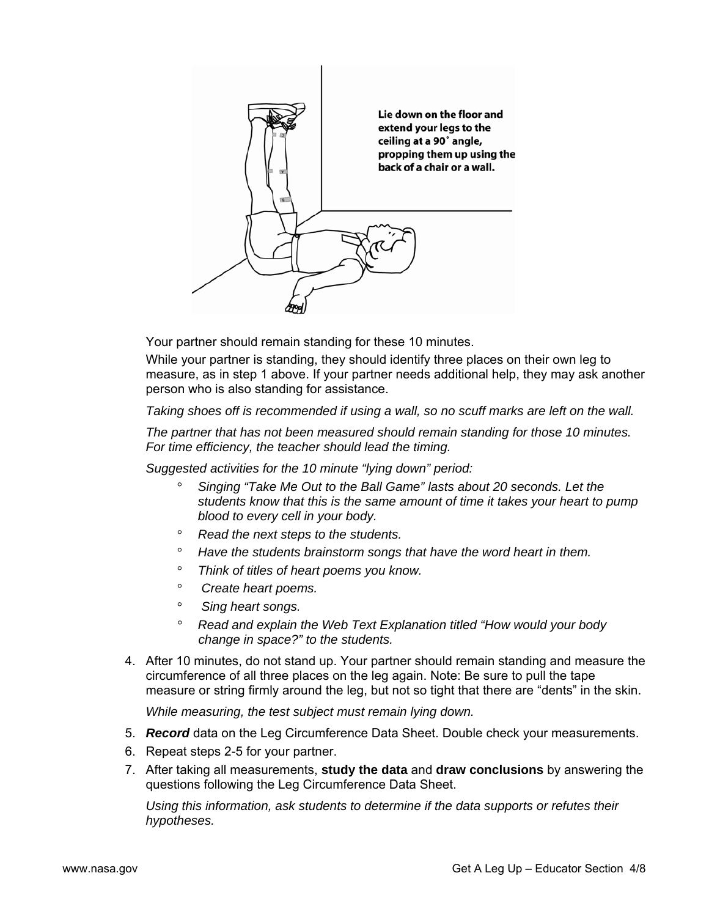

Your partner should remain standing for these 10 minutes.

While your partner is standing, they should identify three places on their own leg to measure, as in step 1 above. If your partner needs additional help, they may ask another person who is also standing for assistance.

*Taking shoes off is recommended if using a wall, so no scuff marks are left on the wall.* 

*The partner that has not been measured should remain standing for those 10 minutes. For time efficiency, the teacher should lead the timing.* 

*Suggested activities for the 10 minute "lying down" period:* 

- ° *Singing "Take Me Out to the Ball Game" lasts about 20 seconds. Let the students know that this is the same amount of time it takes your heart to pump blood to every cell in your body.*
- ° *Read the next steps to the students.*
- ° *Have the students brainstorm songs that have the word heart in them.*
- ° *Think of titles of heart poems you know.*
- ° *Create heart poems.*
- ° *Sing heart songs.*
- ° *Read and explain the Web Text Explanation titled "How would your body change in space?" to the students.*
- 4. After 10 minutes, do not stand up. Your partner should remain standing and measure the circumference of all three places on the leg again. Note: Be sure to pull the tape measure or string firmly around the leg, but not so tight that there are "dents" in the skin.

*While measuring, the test subject must remain lying down.*

- 5. *Record* data on the Leg Circumference Data Sheet. Double check your measurements.
- 6. Repeat steps 2-5 for your partner.
- 7. After taking all measurements, **study the data** and **draw conclusions** by answering the questions following the Leg Circumference Data Sheet.

*Using this information, ask students to determine if the data supports or refutes their hypotheses.*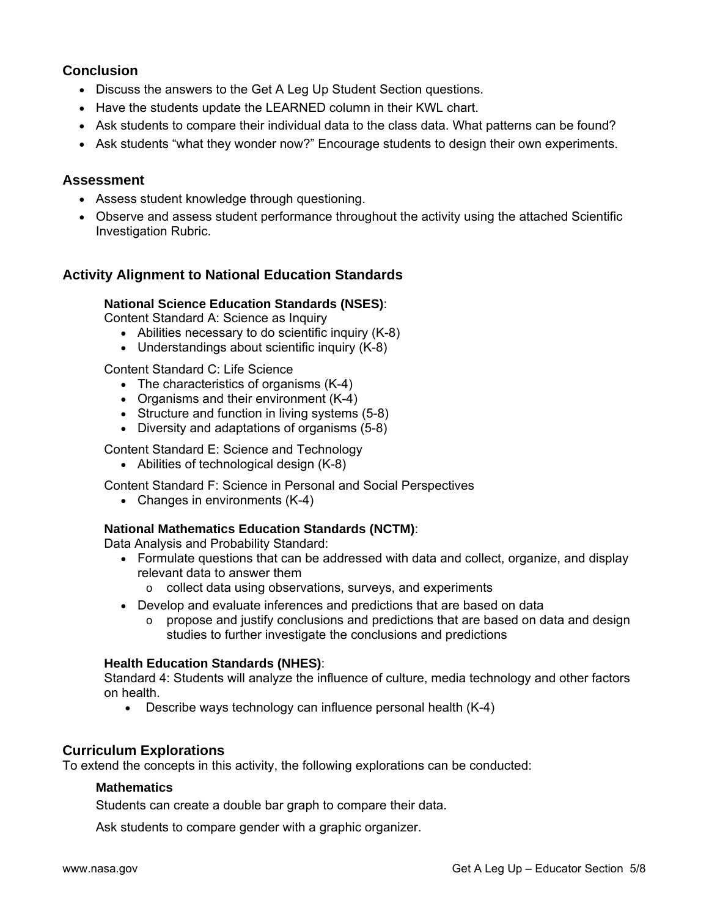### **Conclusion**

- Discuss the answers to the Get A Leg Up Student Section questions.
- Have the students update the LEARNED column in their KWL chart.
- Ask students to compare their individual data to the class data. What patterns can be found?
- Ask students "what they wonder now?" Encourage students to design their own experiments.

### **Assessment**

- Assess student knowledge through questioning.
- Observe and assess student performance throughout the activity using the attached Scientific Investigation Rubric.

### **Activity Alignment to National Education Standards**

### **National Science Education Standards (NSES)**:

Content Standard A: Science as Inquiry

- Abilities necessary to do scientific inquiry (K-8)
- Understandings about scientific inquiry (K-8)

Content Standard C: Life Science

- The characteristics of organisms (K-4)
- Organisms and their environment (K-4)
- Structure and function in living systems (5-8)
- Diversity and adaptations of organisms (5-8)

Content Standard E: Science and Technology

• Abilities of technological design (K-8)

Content Standard F: Science in Personal and Social Perspectives

• Changes in environments (K-4)

### **National Mathematics Education Standards (NCTM)**:

Data Analysis and Probability Standard:

- Formulate questions that can be addressed with data and collect, organize, and display relevant data to answer them
	- o collect data using observations, surveys, and experiments
- Develop and evaluate inferences and predictions that are based on data
	- o propose and justify conclusions and predictions that are based on data and design studies to further investigate the conclusions and predictions

#### **Health Education Standards (NHES)**:

Standard 4: Students will analyze the influence of culture, media technology and other factors on health.

• Describe ways technology can influence personal health (K-4)

### **Curriculum Explorations**

To extend the concepts in this activity, the following explorations can be conducted:

#### **Mathematics**

Students can create a double bar graph to compare their data.

Ask students to compare gender with a graphic organizer.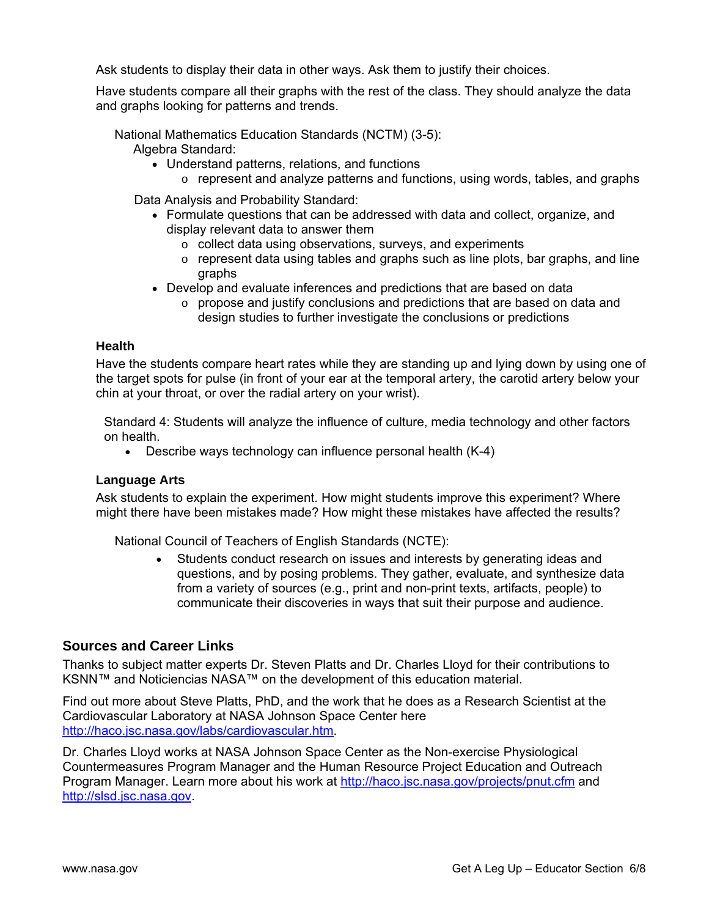Ask students to display their data in other ways. Ask them to justify their choices.

Have students compare all their graphs with the rest of the class. They should analyze the data and graphs looking for patterns and trends.

National Mathematics Education Standards (NCTM) (3-5):

Algebra Standard:

- Understand patterns, relations, and functions
	- $\circ$  represent and analyze patterns and functions, using words, tables, and graphs

Data Analysis and Probability Standard:

- Formulate questions that can be addressed with data and collect, organize, and display relevant data to answer them
	- o collect data using observations, surveys, and experiments
	- $\circ$  represent data using tables and graphs such as line plots, bar graphs, and line graphs
- Develop and evaluate inferences and predictions that are based on data
	- $\circ$  propose and justify conclusions and predictions that are based on data and design studies to further investigate the conclusions or predictions

#### **Health**

Have the students compare heart rates while they are standing up and lying down by using one of the target spots for pulse (in front of your ear at the temporal artery, the carotid artery below your chin at your throat, or over the radial artery on your wrist).

Standard 4: Students will analyze the influence of culture, media technology and other factors on health.

• Describe ways technology can influence personal health (K-4)

### **Language Arts**

Ask students to explain the experiment. How might students improve this experiment? Where might there have been mistakes made? How might these mistakes have affected the results?

National Council of Teachers of English Standards (NCTE):

• Students conduct research on issues and interests by generating ideas and questions, and by posing problems. They gather, evaluate, and synthesize data from a variety of sources (e.g., print and non-print texts, artifacts, people) to communicate their discoveries in ways that suit their purpose and audience.

### **Sources and Career Links**

Thanks to subject matter experts Dr. Steven Platts and Dr. Charles Lloyd for their contributions to KSNN™ and Noticiencias NASA™ on the development of this education material.

Find out more about Steve Platts, PhD, and the work that he does as a Research Scientist at the Cardiovascular Laboratory at NASA Johnson Space Center here <http://haco.jsc.nasa.gov/labs/cardiovascular.htm>.

Dr. Charles Lloyd works at NASA Johnson Space Center as the Non-exercise Physiological Countermeasures Program Manager and the Human Resource Project Education and Outreach Program Manager. Learn more about his work at<http://haco.jsc.nasa.gov/projects/pnut.cfm>and [http://slsd.jsc.nasa.gov](http://slsd.jsc.nasa.gov/).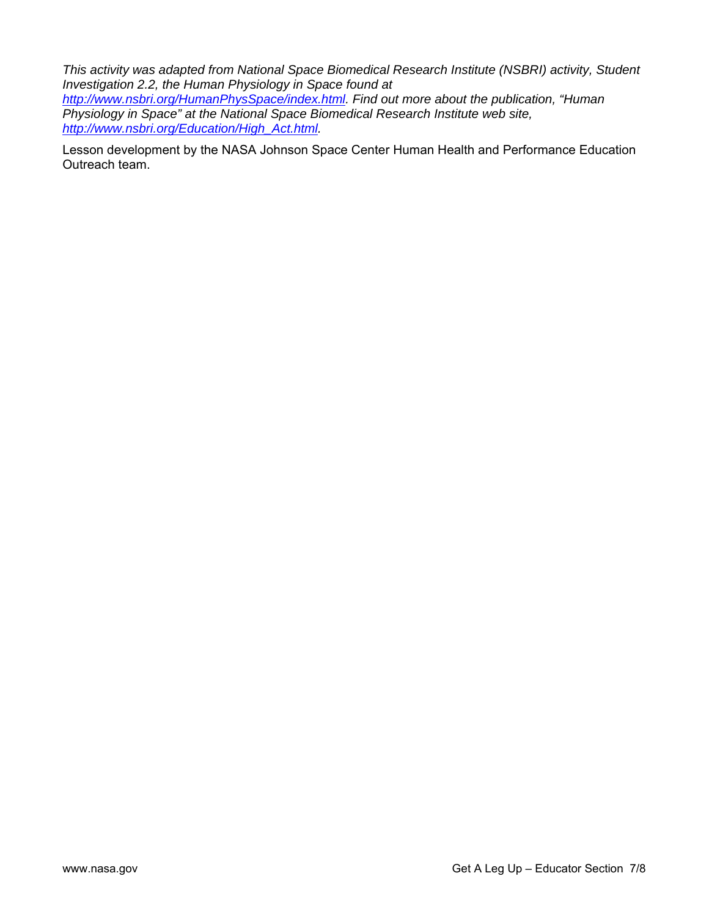*This activity was adapted from National Space Biomedical Research Institute (NSBRI) activity, Student Investigation 2.2, the Human Physiology in Space found at <http://www.nsbri.org/HumanPhysSpace/index.html>. Find out more about the publication, "Human Physiology in Space" at the National Space Biomedical Research Institute web site, [http://www.nsbri.org/Education/High\\_Act.html.](http://www.nsbri.org/Education/High_Act.html)* 

Lesson development by the NASA Johnson Space Center Human Health and Performance Education Outreach team.